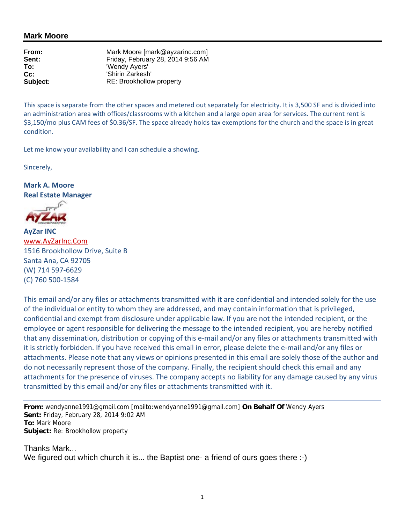## **Mark Moore**

**From:** Mark Moore [mark@ayzarinc.com]<br> **Sent:** Friday. February 28, 2014 9:56 AM **Sent:** Friday, February 28, 2014 9:56 AM<br> **To:** The Contract Contract Contract Contract Contract Contract Contract Contract Contract Contract Contract Con **To:** 'Wendy Ayers' **Cc:** 'Shirin Zarkesh'<br> **Subiect:** RE: Brookhollov **Subject:** RE: Brookhollow property

This space is separate from the other spaces and metered out separately for electricity. It is 3,500 SF and is divided into an administration area with offices/classrooms with a kitchen and a large open area for services. The current rent is \$3,150/mo plus CAM fees of \$0.36/SF. The space already holds tax exemptions for the church and the space is in great condition.

Let me know your availability and I can schedule a showing.

Sincerely,

**Mark A. Moore Real Estate Manager**



**AyZar INC** www.AyZarInc.Com 1516 Brookhollow Drive, Suite B Santa Ana, CA 92705 (W) 714 597‐6629 (C) 760 500‐1584

This email and/or any files or attachments transmitted with it are confidential and intended solely for the use of the individual or entity to whom they are addressed, and may contain information that is privileged, confidential and exempt from disclosure under applicable law. If you are not the intended recipient, or the employee or agent responsible for delivering the message to the intended recipient, you are hereby notified that any dissemination, distribution or copying of this e‐mail and/or any files or attachments transmitted with it is strictly forbidden. If you have received this email in error, please delete the e‐mail and/or any files or attachments. Please note that any views or opinions presented in this email are solely those of the author and do not necessarily represent those of the company. Finally, the recipient should check this email and any attachments for the presence of viruses. The company accepts no liability for any damage caused by any virus transmitted by this email and/or any files or attachments transmitted with it.

**From:** wendyanne1991@gmail.com [mailto:wendyanne1991@gmail.com] **On Behalf Of** Wendy Ayers **Sent:** Friday, February 28, 2014 9:02 AM **To:** Mark Moore **Subject:** Re: Brookhollow property

Thanks Mark... We figured out which church it is... the Baptist one- a friend of ours goes there :-)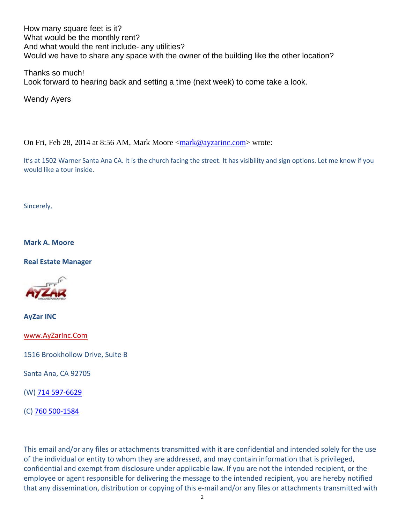How many square feet is it? What would be the monthly rent? And what would the rent include- any utilities? Would we have to share any space with the owner of the building like the other location?

Thanks so much! Look forward to hearing back and setting a time (next week) to come take a look.

Wendy Ayers

On Fri, Feb 28, 2014 at 8:56 AM, Mark Moore <mark@ayzarinc.com> wrote:

It's at 1502 Warner Santa Ana CA. It is the church facing the street. It has visibility and sign options. Let me know if you would like a tour inside.

Sincerely,

**Mark A. Moore**

**Real Estate Manager**



**AyZar INC**

www.AyZarInc.Com

1516 Brookhollow Drive, Suite B

Santa Ana, CA 92705

(W) 714 597‐6629

(C) 760 500‐1584

This email and/or any files or attachments transmitted with it are confidential and intended solely for the use of the individual or entity to whom they are addressed, and may contain information that is privileged, confidential and exempt from disclosure under applicable law. If you are not the intended recipient, or the employee or agent responsible for delivering the message to the intended recipient, you are hereby notified that any dissemination, distribution or copying of this e‐mail and/or any files or attachments transmitted with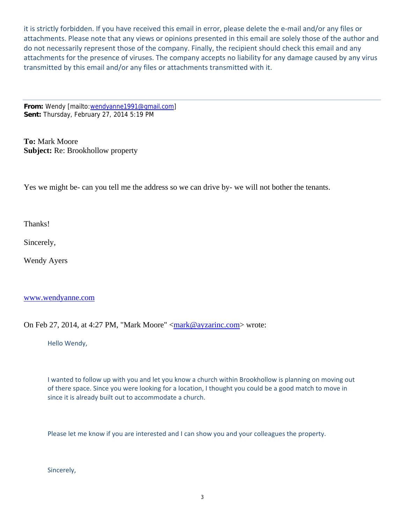it is strictly forbidden. If you have received this email in error, please delete the e‐mail and/or any files or attachments. Please note that any views or opinions presented in this email are solely those of the author and do not necessarily represent those of the company. Finally, the recipient should check this email and any attachments for the presence of viruses. The company accepts no liability for any damage caused by any virus transmitted by this email and/or any files or attachments transmitted with it.

**From:** Wendy [mailto:wendyanne1991@gmail.com] **Sent:** Thursday, February 27, 2014 5:19 PM

**To:** Mark Moore **Subject:** Re: Brookhollow property

Yes we might be- can you tell me the address so we can drive by- we will not bother the tenants.

Thanks!

Sincerely,

Wendy Ayers

## www.wendyanne.com

On Feb 27, 2014, at 4:27 PM, "Mark Moore" <mark@ayzarinc.com> wrote:

Hello Wendy,

I wanted to follow up with you and let you know a church within Brookhollow is planning on moving out of there space. Since you were looking for a location, I thought you could be a good match to move in since it is already built out to accommodate a church.

Please let me know if you are interested and I can show you and your colleagues the property.

Sincerely,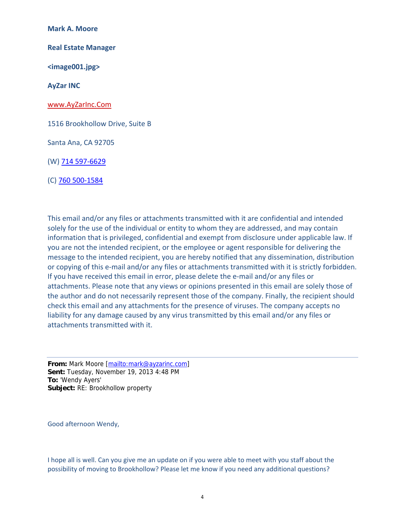**Mark A. Moore**

**Real Estate Manager**

**<image001.jpg>**

**AyZar INC**

www.AyZarInc.Com

1516 Brookhollow Drive, Suite B

Santa Ana, CA 92705

(W) 714 597‐6629

(C) 760 500‐1584

This email and/or any files or attachments transmitted with it are confidential and intended solely for the use of the individual or entity to whom they are addressed, and may contain information that is privileged, confidential and exempt from disclosure under applicable law. If you are not the intended recipient, or the employee or agent responsible for delivering the message to the intended recipient, you are hereby notified that any dissemination, distribution or copying of this e-mail and/or any files or attachments transmitted with it is strictly forbidden. If you have received this email in error, please delete the e-mail and/or any files or attachments. Please note that any views or opinions presented in this email are solely those of the author and do not necessarily represent those of the company. Finally, the recipient should check this email and any attachments for the presence of viruses. The company accepts no liability for any damage caused by any virus transmitted by this email and/or any files or attachments transmitted with it.

**From:** Mark Moore [mailto:mark@ayzarinc.com] **Sent:** Tuesday, November 19, 2013 4:48 PM **To:** 'Wendy Ayers' **Subject:** RE: Brookhollow property

Good afternoon Wendy,

I hope all is well. Can you give me an update on if you were able to meet with you staff about the possibility of moving to Brookhollow? Please let me know if you need any additional questions?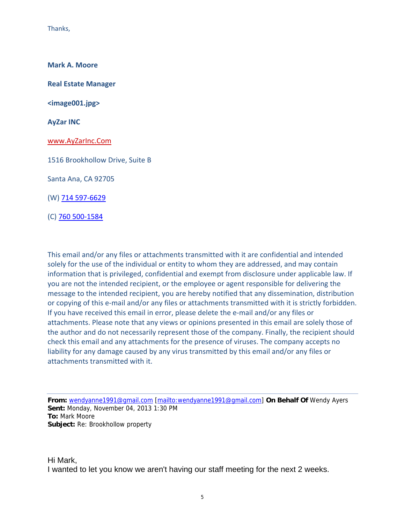Thanks,

**Mark A. Moore**

**Real Estate Manager**

**<image001.jpg>**

**AyZar INC**

www.AyZarInc.Com

1516 Brookhollow Drive, Suite B

Santa Ana, CA 92705

(W) 714 597‐6629

(C) 760 500‐1584

This email and/or any files or attachments transmitted with it are confidential and intended solely for the use of the individual or entity to whom they are addressed, and may contain information that is privileged, confidential and exempt from disclosure under applicable law. If you are not the intended recipient, or the employee or agent responsible for delivering the message to the intended recipient, you are hereby notified that any dissemination, distribution or copying of this e-mail and/or any files or attachments transmitted with it is strictly forbidden. If you have received this email in error, please delete the e‐mail and/or any files or attachments. Please note that any views or opinions presented in this email are solely those of the author and do not necessarily represent those of the company. Finally, the recipient should check this email and any attachments for the presence of viruses. The company accepts no liability for any damage caused by any virus transmitted by this email and/or any files or attachments transmitted with it.

**From:** wendyanne1991@gmail.com [mailto:wendyanne1991@gmail.com] **On Behalf Of** Wendy Ayers **Sent:** Monday, November 04, 2013 1:30 PM **To:** Mark Moore **Subject:** Re: Brookhollow property

Hi Mark, I wanted to let you know we aren't having our staff meeting for the next 2 weeks.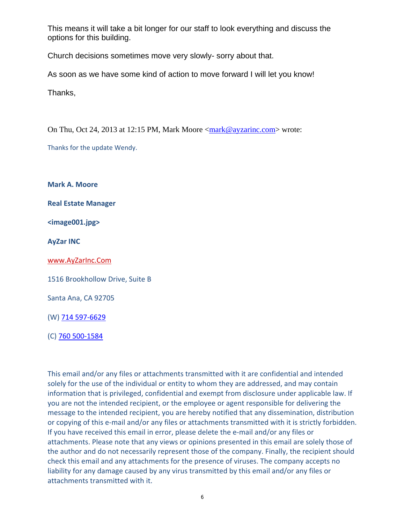This means it will take a bit longer for our staff to look everything and discuss the options for this building.

Church decisions sometimes move very slowly- sorry about that.

As soon as we have some kind of action to move forward I will let you know!

Thanks,

On Thu, Oct 24, 2013 at 12:15 PM, Mark Moore <mark@ayzarinc.com> wrote:

Thanks for the update Wendy.

**Mark A. Moore**

**Real Estate Manager**

**<image001.jpg>**

**AyZar INC**

www.AyZarInc.Com

1516 Brookhollow Drive, Suite B

Santa Ana, CA 92705

(W) 714 597‐6629

(C) 760 500‐1584

This email and/or any files or attachments transmitted with it are confidential and intended solely for the use of the individual or entity to whom they are addressed, and may contain information that is privileged, confidential and exempt from disclosure under applicable law. If you are not the intended recipient, or the employee or agent responsible for delivering the message to the intended recipient, you are hereby notified that any dissemination, distribution or copying of this e-mail and/or any files or attachments transmitted with it is strictly forbidden. If you have received this email in error, please delete the e‐mail and/or any files or attachments. Please note that any views or opinions presented in this email are solely those of the author and do not necessarily represent those of the company. Finally, the recipient should check this email and any attachments for the presence of viruses. The company accepts no liability for any damage caused by any virus transmitted by this email and/or any files or attachments transmitted with it.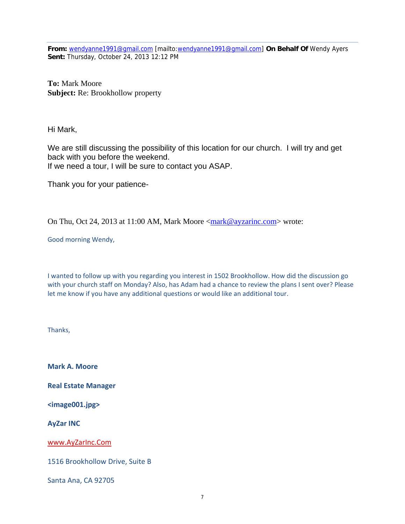**From:** wendyanne1991@gmail.com [mailto:wendyanne1991@gmail.com] **On Behalf Of** Wendy Ayers **Sent:** Thursday, October 24, 2013 12:12 PM

**To:** Mark Moore **Subject:** Re: Brookhollow property

Hi Mark,

We are still discussing the possibility of this location for our church. I will try and get back with you before the weekend. If we need a tour, I will be sure to contact you ASAP.

Thank you for your patience-

On Thu, Oct 24, 2013 at 11:00 AM, Mark Moore <mark@ayzarinc.com> wrote:

Good morning Wendy,

I wanted to follow up with you regarding you interest in 1502 Brookhollow. How did the discussion go with your church staff on Monday? Also, has Adam had a chance to review the plans I sent over? Please let me know if you have any additional questions or would like an additional tour.

Thanks,

**Mark A. Moore**

**Real Estate Manager**

**<image001.jpg>**

**AyZar INC**

www.AyZarInc.Com

1516 Brookhollow Drive, Suite B

Santa Ana, CA 92705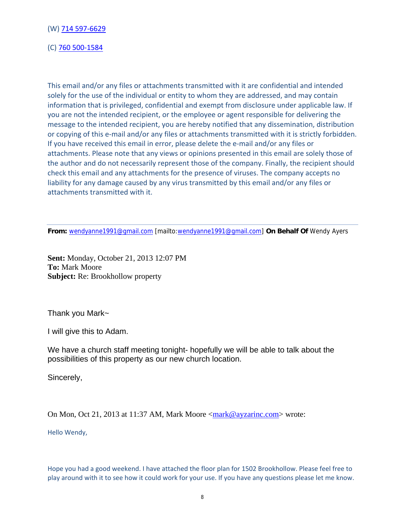(W) 714 597‐6629

(C) 760 500‐1584

This email and/or any files or attachments transmitted with it are confidential and intended solely for the use of the individual or entity to whom they are addressed, and may contain information that is privileged, confidential and exempt from disclosure under applicable law. If you are not the intended recipient, or the employee or agent responsible for delivering the message to the intended recipient, you are hereby notified that any dissemination, distribution or copying of this e-mail and/or any files or attachments transmitted with it is strictly forbidden. If you have received this email in error, please delete the e‐mail and/or any files or attachments. Please note that any views or opinions presented in this email are solely those of the author and do not necessarily represent those of the company. Finally, the recipient should check this email and any attachments for the presence of viruses. The company accepts no liability for any damage caused by any virus transmitted by this email and/or any files or attachments transmitted with it.

**From:** wendyanne1991@gmail.com [mailto:wendyanne1991@gmail.com] **On Behalf Of** Wendy Ayers

**Sent:** Monday, October 21, 2013 12:07 PM **To:** Mark Moore **Subject:** Re: Brookhollow property

Thank you Mark~

I will give this to Adam.

We have a church staff meeting tonight- hopefully we will be able to talk about the possibilities of this property as our new church location.

Sincerely,

On Mon, Oct 21, 2013 at 11:37 AM, Mark Moore <mark@ayzarinc.com> wrote:

Hello Wendy,

Hope you had a good weekend. I have attached the floor plan for 1502 Brookhollow. Please feel free to play around with it to see how it could work for your use. If you have any questions please let me know.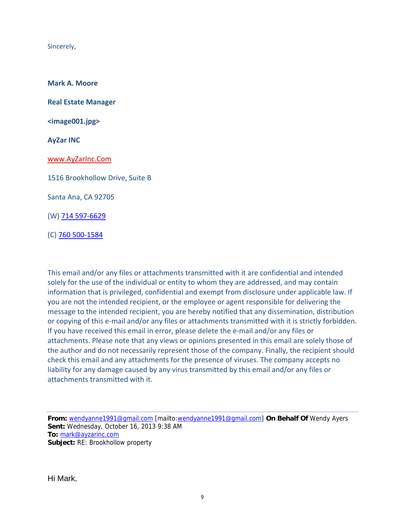Sincerely,

**Mark A. Moore**

**Real Estate Manager**

**<image001.jpg>**

**AyZar INC**

www.AyZarInc.Com

1516 Brookhollow Drive, Suite B

Santa Ana, CA 92705

(W) 714 597‐6629

(C) 760 500‐1584

This email and/or any files or attachments transmitted with it are confidential and intended solely for the use of the individual or entity to whom they are addressed, and may contain information that is privileged, confidential and exempt from disclosure under applicable law. If you are not the intended recipient, or the employee or agent responsible for delivering the message to the intended recipient, you are hereby notified that any dissemination, distribution or copying of this e-mail and/or any files or attachments transmitted with it is strictly forbidden. If you have received this email in error, please delete the e‐mail and/or any files or attachments. Please note that any views or opinions presented in this email are solely those of the author and do not necessarily represent those of the company. Finally, the recipient should check this email and any attachments for the presence of viruses. The company accepts no liability for any damage caused by any virus transmitted by this email and/or any files or attachments transmitted with it.

**From:** wendyanne1991@gmail.com [mailto:wendyanne1991@gmail.com] **On Behalf Of** Wendy Ayers **Sent:** Wednesday, October 16, 2013 9:38 AM **To:** mark@ayzarinc.com **Subject:** RE: Brookhollow property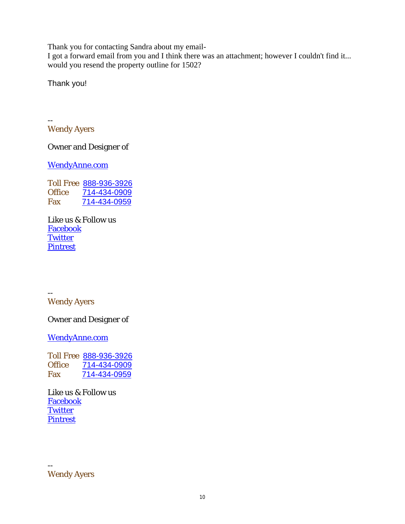Thank you for contacting Sandra about my email-

I got a forward email from you and I think there was an attachment; however I couldn't find it... would you resend the property outline for 1502?

Thank you!

-- Wendy Ayers

Owner and Designer of

WendyAnne.com

Toll Free 888-936-3926<br>Office 714-434-0909 Office 714-434-0909 Fax 714-434-0959

Like us & Follow us **Facebook Twitter Pintrest** 

-- Wendy Ayers

Owner and Designer of

WendyAnne.com

Toll Free 888-936-3926<br>Office 714-434-0909 Office 714-434-0909 Fax 714-434-0959

Like us & Follow us Facebook **Twitter Pintrest** 

-- Wendy Ayers